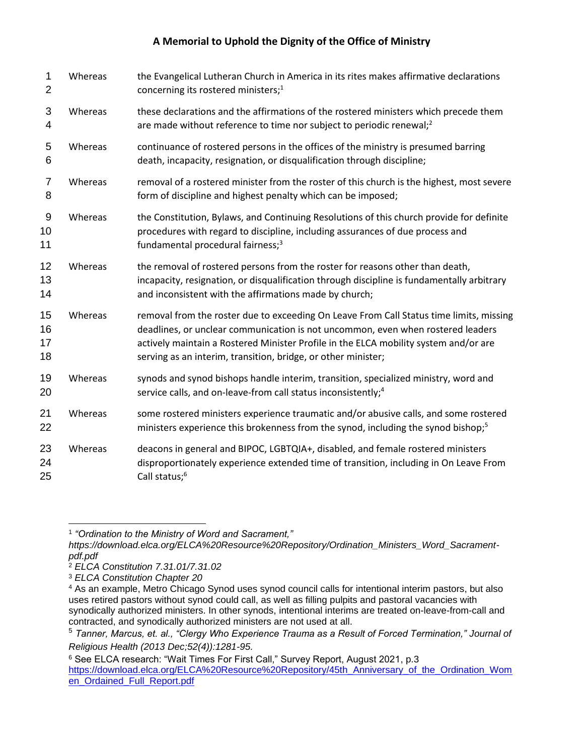## **A Memorial to Uphold the Dignity of the Office of Ministry**

| 1<br>$\overline{2}$  | Whereas | the Evangelical Lutheran Church in America in its rites makes affirmative declarations<br>concerning its rostered ministers; <sup>1</sup>                                                                                                                                                                                           |  |  |
|----------------------|---------|-------------------------------------------------------------------------------------------------------------------------------------------------------------------------------------------------------------------------------------------------------------------------------------------------------------------------------------|--|--|
| 3<br>4               | Whereas | these declarations and the affirmations of the rostered ministers which precede them<br>are made without reference to time nor subject to periodic renewal; <sup>2</sup>                                                                                                                                                            |  |  |
| 5<br>6               | Whereas | continuance of rostered persons in the offices of the ministry is presumed barring<br>death, incapacity, resignation, or disqualification through discipline;                                                                                                                                                                       |  |  |
| 7<br>8               | Whereas | removal of a rostered minister from the roster of this church is the highest, most severe<br>form of discipline and highest penalty which can be imposed;                                                                                                                                                                           |  |  |
| 9<br>10<br>11        | Whereas | the Constitution, Bylaws, and Continuing Resolutions of this church provide for definite<br>procedures with regard to discipline, including assurances of due process and<br>fundamental procedural fairness; <sup>3</sup>                                                                                                          |  |  |
| 12<br>13<br>14       | Whereas | the removal of rostered persons from the roster for reasons other than death,<br>incapacity, resignation, or disqualification through discipline is fundamentally arbitrary<br>and inconsistent with the affirmations made by church;                                                                                               |  |  |
| 15<br>16<br>17<br>18 | Whereas | removal from the roster due to exceeding On Leave From Call Status time limits, missing<br>deadlines, or unclear communication is not uncommon, even when rostered leaders<br>actively maintain a Rostered Minister Profile in the ELCA mobility system and/or are<br>serving as an interim, transition, bridge, or other minister; |  |  |
| 19<br>20             | Whereas | synods and synod bishops handle interim, transition, specialized ministry, word and<br>service calls, and on-leave-from call status inconsistently; <sup>4</sup>                                                                                                                                                                    |  |  |
| 21<br>22             | Whereas | some rostered ministers experience traumatic and/or abusive calls, and some rostered<br>ministers experience this brokenness from the synod, including the synod bishop; <sup>5</sup>                                                                                                                                               |  |  |
| 23<br>24<br>25       | Whereas | deacons in general and BIPOC, LGBTQIA+, disabled, and female rostered ministers<br>disproportionately experience extended time of transition, including in On Leave From<br>Call status; <sup>6</sup>                                                                                                                               |  |  |

<sup>1</sup> *"Ordination to the Ministry of Word and Sacrament,"*

*https://download.elca.org/ELCA%20Resource%20Repository/Ordination\_Ministers\_Word\_Sacramentpdf.pdf*

<sup>2</sup> *ELCA Constitution 7.31.01/7.31.02*

<sup>3</sup> *ELCA Constitution Chapter 20*

<sup>4</sup> As an example, Metro Chicago Synod uses synod council calls for intentional interim pastors, but also uses retired pastors without synod could call, as well as filling pulpits and pastoral vacancies with synodically authorized ministers. In other synods, intentional interims are treated on-leave-from-call and contracted, and synodically authorized ministers are not used at all.

<sup>5</sup> *Tanner, Marcus, et. al., "Clergy Who Experience Trauma as a Result of Forced Termination," Journal of Religious Health (2013 Dec;52(4)):1281-95.*

 $^6$  See ELCA research: "Wait Times For First Call," Survey Report, August 2021, p.3  $\,$ [https://download.elca.org/ELCA%20Resource%20Repository/45th\\_Anniversary\\_of\\_the\\_Ordination\\_Wom](https://download.elca.org/ELCA%20Resource%20Repository/45th_Anniversary_of_the_Ordination_Women_Ordained_Full_Report.pdf) [en\\_Ordained\\_Full\\_Report.pdf](https://download.elca.org/ELCA%20Resource%20Repository/45th_Anniversary_of_the_Ordination_Women_Ordained_Full_Report.pdf)